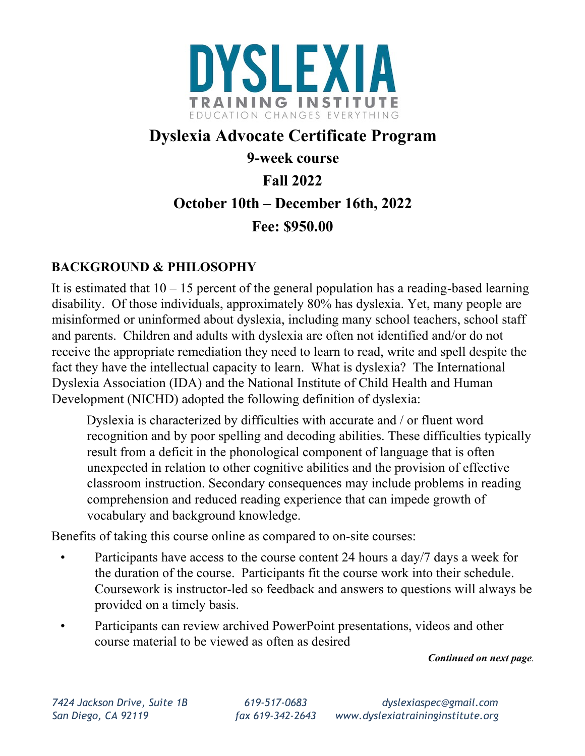

# **Dyslexia Advocate Certificate Program**

**9-week course** 

**Fall 2022** 

# **October 10th – December 16th, 2022**

**Fee: \$950.00** 

# **BACKGROUND & PHILOSOPHY**

It is estimated that  $10 - 15$  percent of the general population has a reading-based learning disability. Of those individuals, approximately 80% has dyslexia. Yet, many people are misinformed or uninformed about dyslexia, including many school teachers, school staff and parents. Children and adults with dyslexia are often not identified and/or do not receive the appropriate remediation they need to learn to read, write and spell despite the fact they have the intellectual capacity to learn. What is dyslexia? The International Dyslexia Association (IDA) and the National Institute of Child Health and Human Development (NICHD) adopted the following definition of dyslexia:

Dyslexia is characterized by difficulties with accurate and / or fluent word recognition and by poor spelling and decoding abilities. These difficulties typically result from a deficit in the phonological component of language that is often unexpected in relation to other cognitive abilities and the provision of effective classroom instruction. Secondary consequences may include problems in reading comprehension and reduced reading experience that can impede growth of vocabulary and background knowledge.

Benefits of taking this course online as compared to on-site courses:

- Participants have access to the course content 24 hours a day/7 days a week for the duration of the course. Participants fit the course work into their schedule. Coursework is instructor-led so feedback and answers to questions will always be provided on a timely basis.
- Participants can review archived PowerPoint presentations, videos and other course material to be viewed as often as desired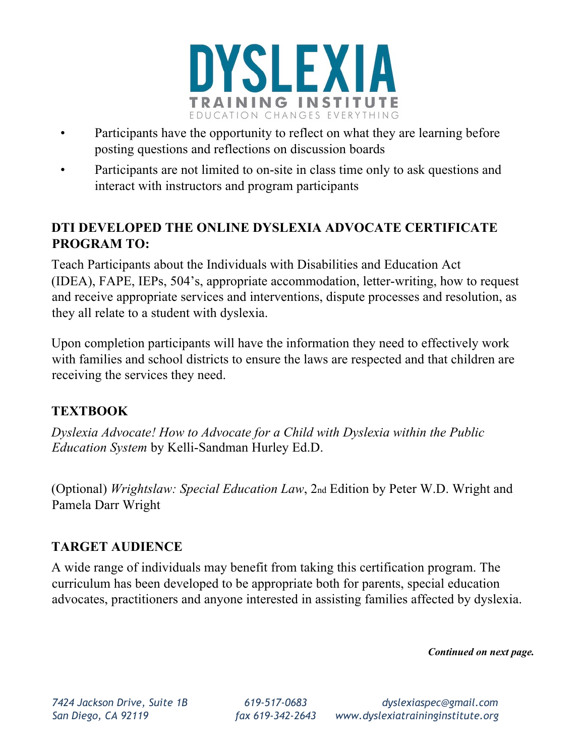

- Participants have the opportunity to reflect on what they are learning before posting questions and reflections on discussion boards
- Participants are not limited to on-site in class time only to ask questions and interact with instructors and program participants

## **DTI DEVELOPED THE ONLINE DYSLEXIA ADVOCATE CERTIFICATE PROGRAM TO:**

Teach Participants about the Individuals with Disabilities and Education Act (IDEA), FAPE, IEPs, 504's, appropriate accommodation, letter-writing, how to request and receive appropriate services and interventions, dispute processes and resolution, as they all relate to a student with dyslexia.

Upon completion participants will have the information they need to effectively work with families and school districts to ensure the laws are respected and that children are receiving the services they need.

### **TEXTBOOK**

*Dyslexia Advocate! How to Advocate for a Child with Dyslexia within the Public Education System* by Kelli-Sandman Hurley Ed.D.

(Optional) *Wrightslaw: Special Education Law*, 2nd Edition by Peter W.D. Wright and Pamela Darr Wright

### **TARGET AUDIENCE**

A wide range of individuals may benefit from taking this certification program. The curriculum has been developed to be appropriate both for parents, special education advocates, practitioners and anyone interested in assisting families affected by dyslexia.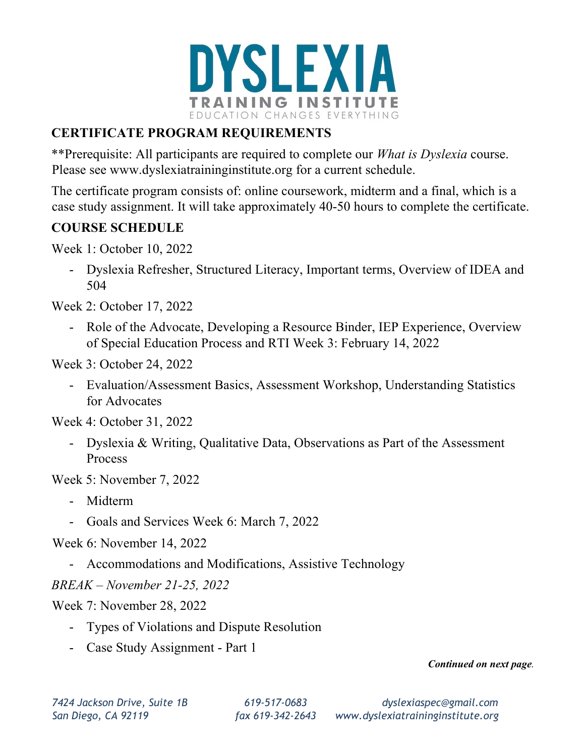

# **CERTIFICATE PROGRAM REQUIREMENTS**

\*\*Prerequisite: All participants are required to complete our *What is Dyslexia* course. Please see www.dyslexiatraininginstitute.org for a current schedule.

The certificate program consists of: online coursework, midterm and a final, which is a case study assignment. It will take approximately 40-50 hours to complete the certificate.

### **COURSE SCHEDULE**

Week 1: October 10, 2022

- Dyslexia Refresher, Structured Literacy, Important terms, Overview of IDEA and 504

Week 2: October 17, 2022

- Role of the Advocate, Developing a Resource Binder, IEP Experience, Overview of Special Education Process and RTI Week 3: February 14, 2022

Week 3: October 24, 2022

- Evaluation/Assessment Basics, Assessment Workshop, Understanding Statistics for Advocates

Week 4: October 31, 2022

- Dyslexia & Writing, Qualitative Data, Observations as Part of the Assessment Process

Week 5: November 7, 2022

- Midterm
- Goals and Services Week 6: March 7, 2022

Week 6: November 14, 2022

- Accommodations and Modifications, Assistive Technology

*BREAK – November 21-25, 2022* 

Week 7: November 28, 2022

- Types of Violations and Dispute Resolution
- Case Study Assignment Part 1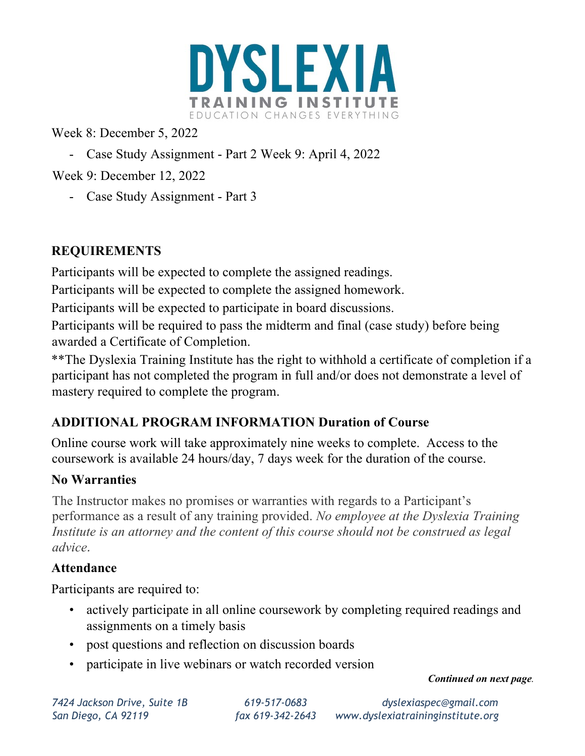

Week 8: December 5, 2022

- Case Study Assignment Part 2 Week 9: April 4, 2022
- Week 9: December 12, 2022
	- Case Study Assignment Part 3

# **REQUIREMENTS**

Participants will be expected to complete the assigned readings.

Participants will be expected to complete the assigned homework.

Participants will be expected to participate in board discussions.

Participants will be required to pass the midterm and final (case study) before being awarded a Certificate of Completion.

\*\*The Dyslexia Training Institute has the right to withhold a certificate of completion if a participant has not completed the program in full and/or does not demonstrate a level of mastery required to complete the program.

# **ADDITIONAL PROGRAM INFORMATION Duration of Course**

Online course work will take approximately nine weeks to complete. Access to the coursework is available 24 hours/day, 7 days week for the duration of the course.

### **No Warranties**

The Instructor makes no promises or warranties with regards to a Participant's performance as a result of any training provided. *No employee at the Dyslexia Training Institute is an attorney and the content of this course should not be construed as legal advice.*

### **Attendance**

Participants are required to:

- actively participate in all online coursework by completing required readings and assignments on a timely basis
- post questions and reflection on discussion boards
- participate in live webinars or watch recorded version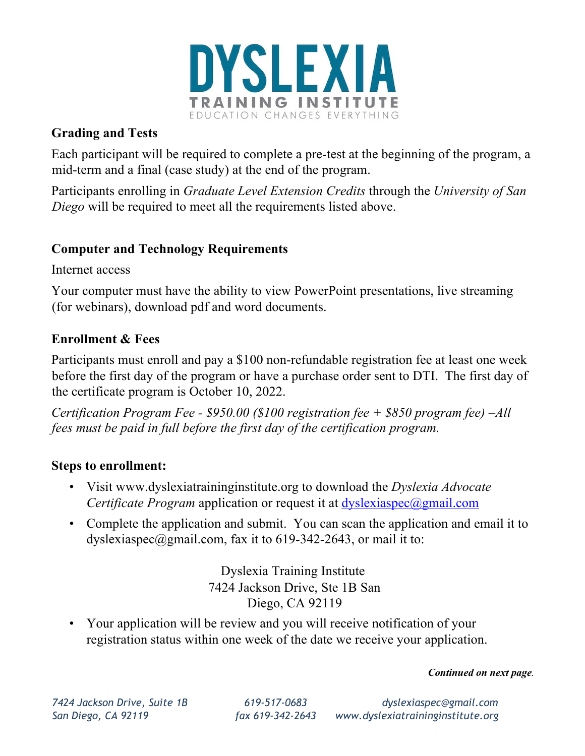

### **Grading and Tests**

Each participant will be required to complete a pre-test at the beginning of the program, a mid-term and a final (case study) at the end of the program.

Participants enrolling in *Graduate Level Extension Credits* through the *University of San Diego* will be required to meet all the requirements listed above.

### **Computer and Technology Requirements**

Internet access

Your computer must have the ability to view PowerPoint presentations, live streaming (for webinars), download pdf and word documents.

### **Enrollment & Fees**

Participants must enroll and pay a \$100 non-refundable registration fee at least one week before the first day of the program or have a purchase order sent to DTI. The first day of the certificate program is October 10, 2022.

*Certification Program Fee - \$950.00 (\$100 registration fee + \$850 program fee) –All fees must be paid in full before the first day of the certification program.*

### **Steps to enrollment:**

- Visit www.dyslexiatraininginstitute.org to download the *Dyslexia Advocate Certificate Program* application or request it at dyslexiaspec@gmail.com
- Complete the application and submit. You can scan the application and email it to dyslexiaspec@gmail.com, fax it to 619-342-2643, or mail it to:

Dyslexia Training Institute 7424 Jackson Drive, Ste 1B San Diego, CA 92119

• Your application will be review and you will receive notification of your registration status within one week of the date we receive your application.

#### *Continued on next page.*

*7424 Jackson Drive, Suite 1B 619-517-0683 dyslexiaspec@gmail.com San Diego, CA 92119 fax 619-342-2643 www.dyslexiatraininginstitute.org*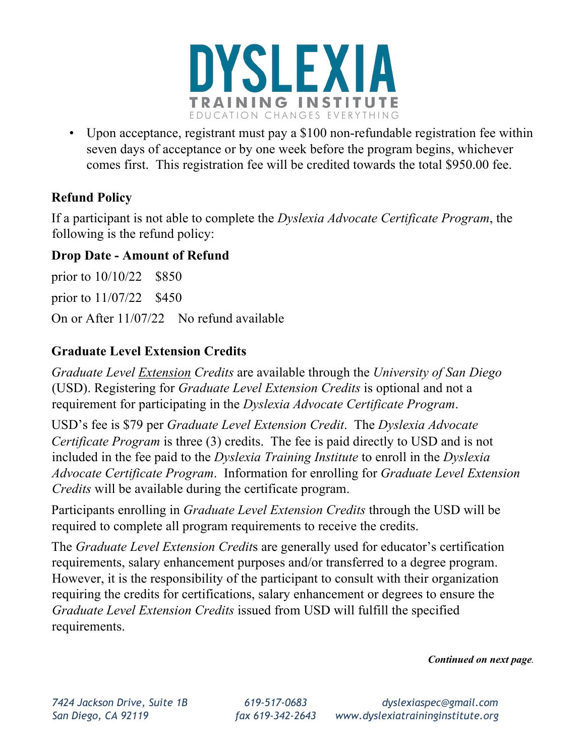

• Upon acceptance, registrant must pay a \$100 non-refundable registration fee within seven days of acceptance or by one week before the program begins, whichever comes first. This registration fee will be credited towards the total \$950.00 fee.

### **Refund Policy**

If a participant is not able to complete the *Dyslexia Advocate Certificate Program*, the following is the refund policy:

### **Drop Date - Amount of Refund**

prior to 10/10/22 \$850 prior to 11/07/22 \$450 On or After 11/07/22 No refund available

### **Graduate Level Extension Credits**

*Graduate Level Extension Credits* are available through the *University of San Diego* (USD). Registering for *Graduate Level Extension Credits* is optional and not a requirement for participating in the *Dyslexia Advocate Certificate Program*.

USD's fee is \$79 per *Graduate Level Extension Credit*. The *Dyslexia Advocate Certificate Program* is three (3) credits. The fee is paid directly to USD and is not included in the fee paid to the *Dyslexia Training Institute* to enroll in the *Dyslexia Advocate Certificate Program*. Information for enrolling for *Graduate Level Extension Credits* will be available during the certificate program.

Participants enrolling in *Graduate Level Extension Credits* through the USD will be required to complete all program requirements to receive the credits.

The *Graduate Level Extension Credit*s are generally used for educator's certification requirements, salary enhancement purposes and/or transferred to a degree program. However, it is the responsibility of the participant to consult with their organization requiring the credits for certifications, salary enhancement or degrees to ensure the *Graduate Level Extension Credits* issued from USD will fulfill the specified requirements.